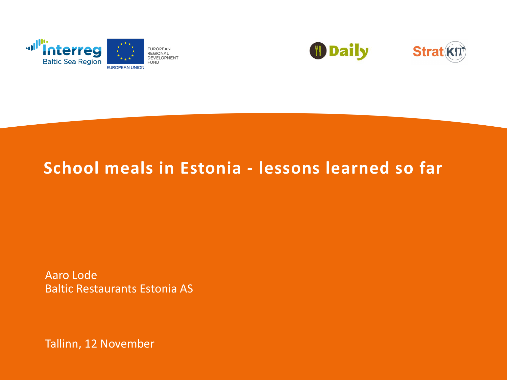



#### **School meals in Estonia - lessons learned so far**

Aaro Lode Baltic Restaurants Estonia AS

Tallinn, 12 November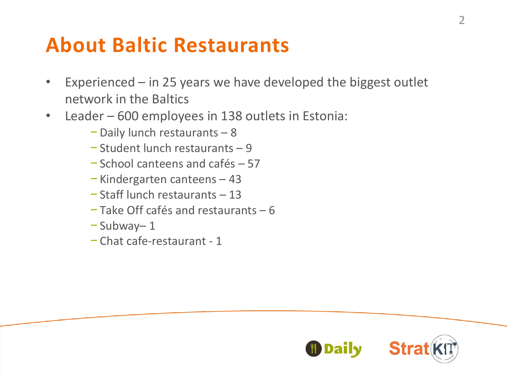#### **About Baltic Restaurants**

- Experienced  $-$  in 25 years we have developed the biggest outlet network in the Baltics
- Leader 600 employees in 138 outlets in Estonia:
	- − Daily lunch restaurants 8
	- − Student lunch restaurants 9
	- − School canteens and cafés 57
	- − Kindergarten canteens 43
	- − Staff lunch restaurants 13
	- − Take Off cafés and restaurants 6
	- − Subway– 1
	- − Chat cafe-restaurant 1



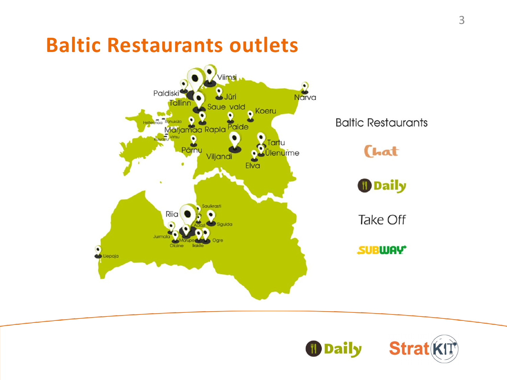#### **Baltic Restaurants outlets**



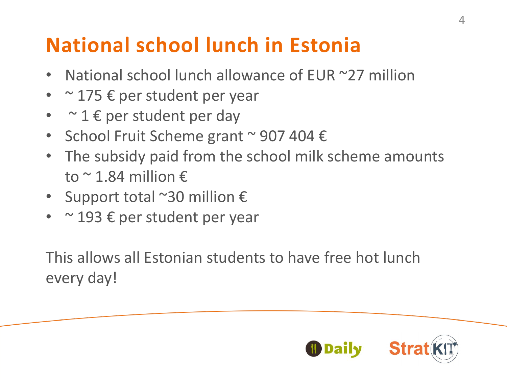## **National school lunch in Estonia**

- **National school lunch allowance of EUR**  $\approx$ **27 million**
- $\sim$  175  $\epsilon$  per student per year
- $\sim$  1  $\epsilon$  per student per day
- School Fruit Scheme grant ~ 907 404 €
- The subsidy paid from the school milk scheme amounts to  $\sim$  1.84 million  $\epsilon$
- Support total  $^{\sim}$ 30 million  $\epsilon$
- $\sim$  193  $\epsilon$  per student per year

This allows all Estonian students to have free hot lunch every day!

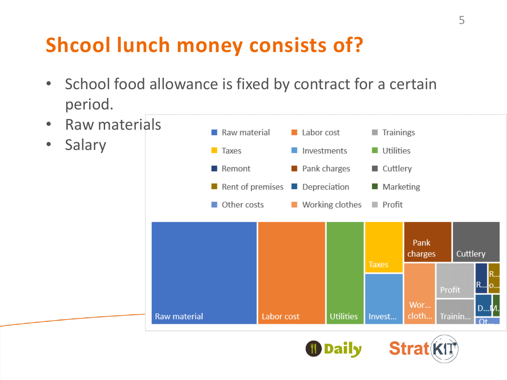## **Shcool lunch money consists of?**

- School food allowance is fixed by contract for a certain period.
- Raw materials
- Salary





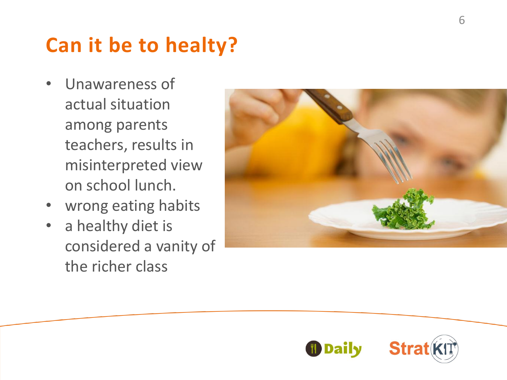## **Can it be to healty ?**

- Unawareness of actual situation among parents teachers, results in misinterpreted view on school lunch.
- wrong eating habits
- a healthy diet is considered a vanity of the richer class



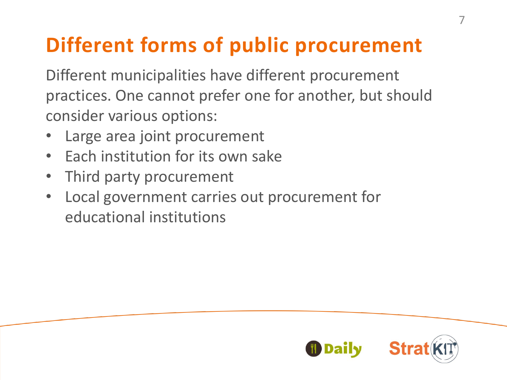## **Different forms of public procurement**

Different municipalities have different procurement practices. One cannot prefer one for another, but should consider various options:

- Large area joint procurement
- Each institution for its own sake
- Third party procurement
- Local government carries out procurement for educational institutions

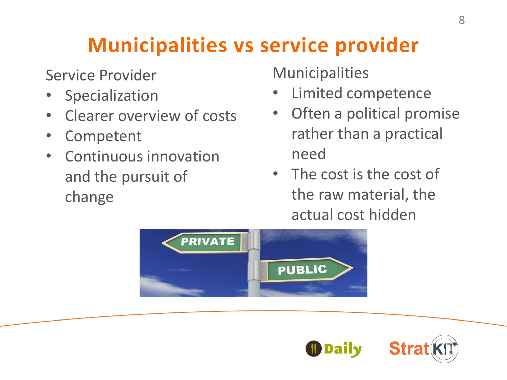## **Municipalities vs service provider**

Service Provider

- Specialization
- Clearer overview of costs
- **Competent**
- Continuous innovation and the pursuit of change

Municipalities

- Limited competence
- Often a political promise rather than a practical need
- The cost is the cost of the raw material, the actual cost hidden



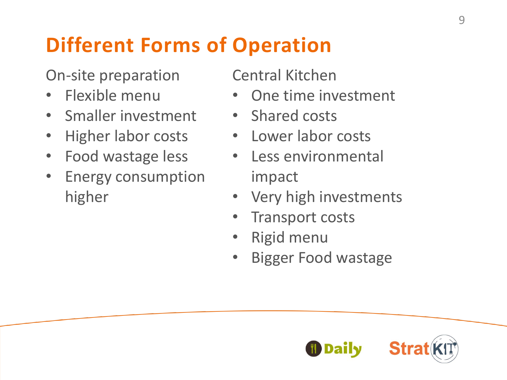# **Different Forms of Operation**

On-site preparation

- Flexible menu
- Smaller investment
- Higher labor costs
- Food wastage less
- Energy consumption higher

Central Kitchen

- One time investment
- Shared costs
- Lower labor costs
- Less environmental impact
- Very high investments
- Transport costs
- Rigid menu
- Bigger Food wastage

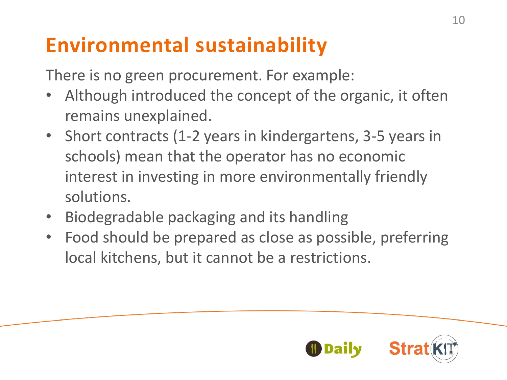### **Environmental sustainability**

There is no green procurement. For example:

- Although introduced the concept of the organic, it often remains unexplained.
- Short contracts (1-2 years in kindergartens, 3-5 years in schools) mean that the operator has no economic interest in investing in more environmentally friendly solutions.
- Biodegradable packaging and its handling
- Food should be prepared as close as possible, preferring local kitchens, but it cannot be a restrictions.

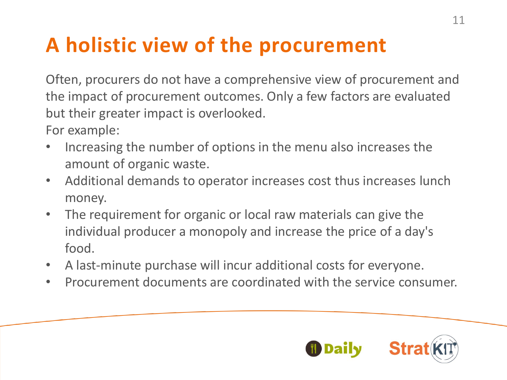# **A holistic view of the procurement**

Often, procurers do not have a comprehensive view of procurement and the impact of procurement outcomes. Only a few factors are evaluated but their greater impact is overlooked.

For example:

- Increasing the number of options in the menu also increases the amount of organic waste.
- Additional demands to operator increases cost thus increases lunch money.
- The requirement for organic or local raw materials can give the individual producer a monopoly and increase the price of a day's food.
- A last-minute purchase will incur additional costs for everyone.
- Procurement documents are coordinated with the service consumer.

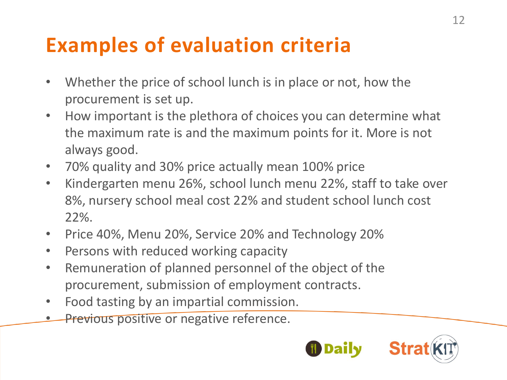### **Examples of evaluation criteria**

- Whether the price of school lunch is in place or not, how the procurement is set up.
- How important is the plethora of choices you can determine what the maximum rate is and the maximum points for it. More is not always good.
- 70% quality and 30% price actually mean 100% price
- Kindergarten menu 26%, school lunch menu 22%, staff to take over 8%, nursery school meal cost 22% and student school lunch cost 22%.
- Price 40%, Menu 20%, Service 20% and Technology 20%
- Persons with reduced working capacity
- Remuneration of planned personnel of the object of the procurement, submission of employment contracts.
- Food tasting by an impartial commission.
- **Previous positive or negative reference.**